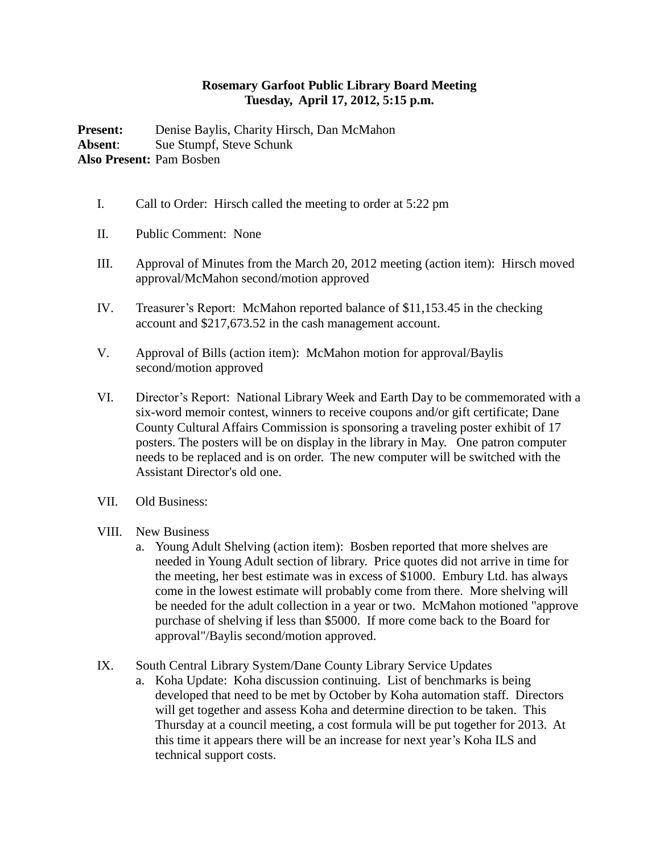## **Rosemary Garfoot Public Library Board Meeting Tuesday, April 17, 2012, 5:15 p.m.**

Present: Denise Baylis, Charity Hirsch, Dan McMahon **Absent**: Sue Stumpf, Steve Schunk **Also Present:** Pam Bosben

- I. Call to Order: Hirsch called the meeting to order at 5:22 pm
- II. Public Comment: None
- III. Approval of Minutes from the March 20, 2012 meeting (action item): Hirsch moved approval/McMahon second/motion approved
- IV. Treasurer's Report: McMahon reported balance of \$11,153.45 in the checking account and \$217,673.52 in the cash management account.
- V. Approval of Bills (action item): McMahon motion for approval/Baylis second/motion approved
- VI. Director's Report: National Library Week and Earth Day to be commemorated with a six-word memoir contest, winners to receive coupons and/or gift certificate; Dane County Cultural Affairs Commission is sponsoring a traveling poster exhibit of 17 posters. The posters will be on display in the library in May. One patron computer needs to be replaced and is on order. The new computer will be switched with the Assistant Director's old one.
- VII. Old Business:
- VIII. New Business
	- a. Young Adult Shelving (action item): Bosben reported that more shelves are needed in Young Adult section of library. Price quotes did not arrive in time for the meeting, her best estimate was in excess of \$1000. Embury Ltd. has always come in the lowest estimate will probably come from there. More shelving will be needed for the adult collection in a year or two. McMahon motioned "approve purchase of shelving if less than \$5000. If more come back to the Board for approval"/Baylis second/motion approved.

IX. South Central Library System/Dane County Library Service Updates

a. Koha Update: Koha discussion continuing. List of benchmarks is being developed that need to be met by October by Koha automation staff. Directors will get together and assess Koha and determine direction to be taken. This Thursday at a council meeting, a cost formula will be put together for 2013. At this time it appears there will be an increase for next year's Koha ILS and technical support costs.